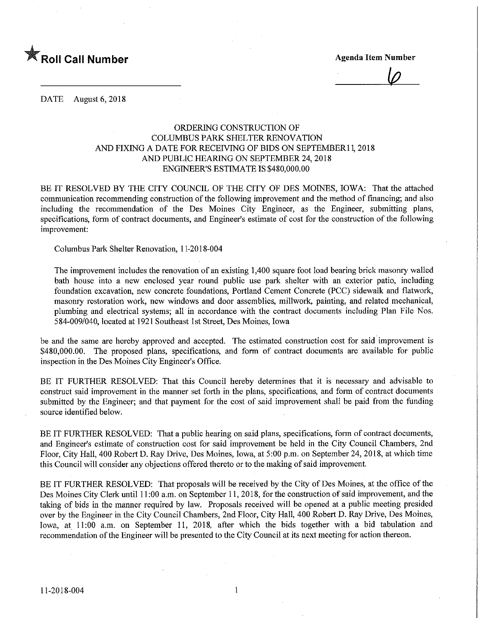

 $\varphi$ 

DATE August 6, 2018

## ORDERING CONSTRUCTION OF COLUMBUS PARK SHELTER RENOVATION AND FIXING A DATE FOR RECEIVING OF BIDS ON SEPTEMBER11 2018 AND PUBLIC HEARING ON SEPTEMBER 24,2018 ENGINEER'S ESTIMATE IS \$480,000.00

BE IT RESOLVED BY THE CITY COUNCIL OF THE CITY OF DES MOINES, IOWA: That the attached communication recommending construction of the following improvement and the method of financing; and also including the recommendation of the Des Moines City Engineer, as the Engineer, submitting plans, specifications, form of contract documents, and Engineer's estimate of cost for the construction of the following improvement:

Columbus Park Shelter Renovation, 1 1-2018-004

The improvement includes the renovation of an existing 1,400 square foot load bearing brick masonry walled bath house into a new enclosed year round public use park shelter with an exterior patio, including foundation excavation, new concrete foundations, Portland Cement Concrete (PCC) sidewalk and flatwork, masonry restoration work, new windows and door assemblies, millwork, painting, and related mechanical, plumbing and electrical systems; all m accordance with the contract documents including Plan File Nos. 584-009/040, located at 1921 Southeast 1st Street, Des Moines, Iowa

be and the same are hereby approved and accepted. The estimated construction cost for said improvement is \$480,000.00. The proposed plans, specifications, and form of contract documents are available for public inspection in the Des Moines City Engineer's Office.

BE IT FURTHER RESOLVED: That this Council hereby determines that it is necessary and advisable to construct said improvement in the manner set forth in the plans, specifications, and form of contract documents submitted by the Engineer; and that payment for the cost of said improvement shall be paid from the funding source identified below.

BE IT FURTHER RESOLVED: That a public hearing on said plans, specifications, form of contract documents, and Engineer's estimate of construction cost for said improvement be held in the City Council Chambers, 2nd Floor, City Hall, 400 Robert D. Ray Drive, Des Moines, Iowa, at 5:00 p.m. on September 24, 2018, at which time this Council will consider any objections offered thereto or to the making of said improvement.

BE IT FURTHER RESOLVED: That proposals will be received by the City of Des Momes, at the office of the Des Moines City Clerk until 11:00 a.m. on September 11,2018, for the construction of said improvement, and the taking of bids in the manner required by law. Proposals received will be opened at a public meeting presided over by the Engineer in the City Council Chambers, 2nd Floor, City Hall, 400 Robert D. Ray Drive, Des Moines, Iowa, at 11:00 a.m. on September 11, 2018, after which the bids together with a bid tabulation and recommendation of the Engineer will be presented to the City Council at its next meeting for action thereon.

 $\mathbf{1}$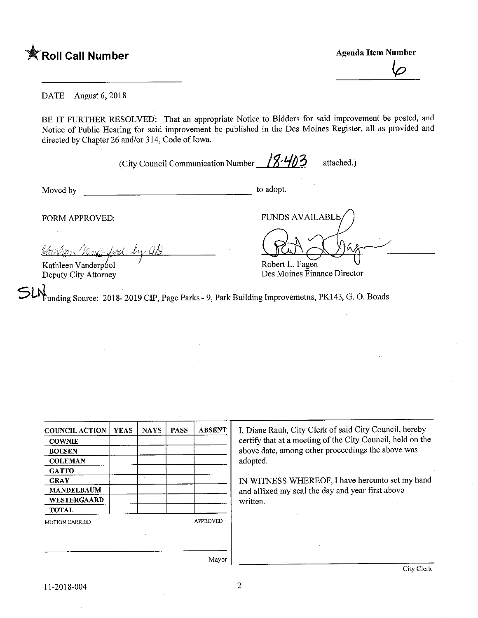**The Call Number Agents of the Call Number Agents Agents Agents Agents Agents Agents Agents Agents Agents Agents Agents Agents Agents Agents Agents Agents Agents Agents Agents Agents Agents Agents Agents Agents Agents Agen** 

 $\overline{\varphi}$ 

DATE August 6, 2018

BE IT FURTHER RESOLVED: That an appropriate Notice to Bidders for said improvement be posted, and Notice of Public Hearing for said improvement be published in the Des Moines Register, all as provided and directed by Chapter 26 and/or 314, Code of Iowa.

(City Council Communication Number  $\sqrt{8.403}$  attached.)

Moved by to adopt.

FUNDS AVAILABLE

Des Moines Finance Director

Robert L. Fagen

FORM APPROVED:

Verillon Vanily Last b <u>Hacker Vanis from by</u>

Kathleen Vanderpool Deputy City Attorney

51.4unding Source: 2018- 2019 CIP, Page Parks - 9, Park Building Improvemetns, PK143, G. 0. Bonds

| APPROVED |
|----------|
|          |
|          |

I, Diane Rauh, City Clerk of said City Council, hereby certify that at a meeting of the City Council, held on the above date, among other proceedings the above was adopted.

IN WITNESS WHEREOF, I have hereunto set my hand and affixed my seal the day and year first above written.

Mayor

 $\overline{2}$